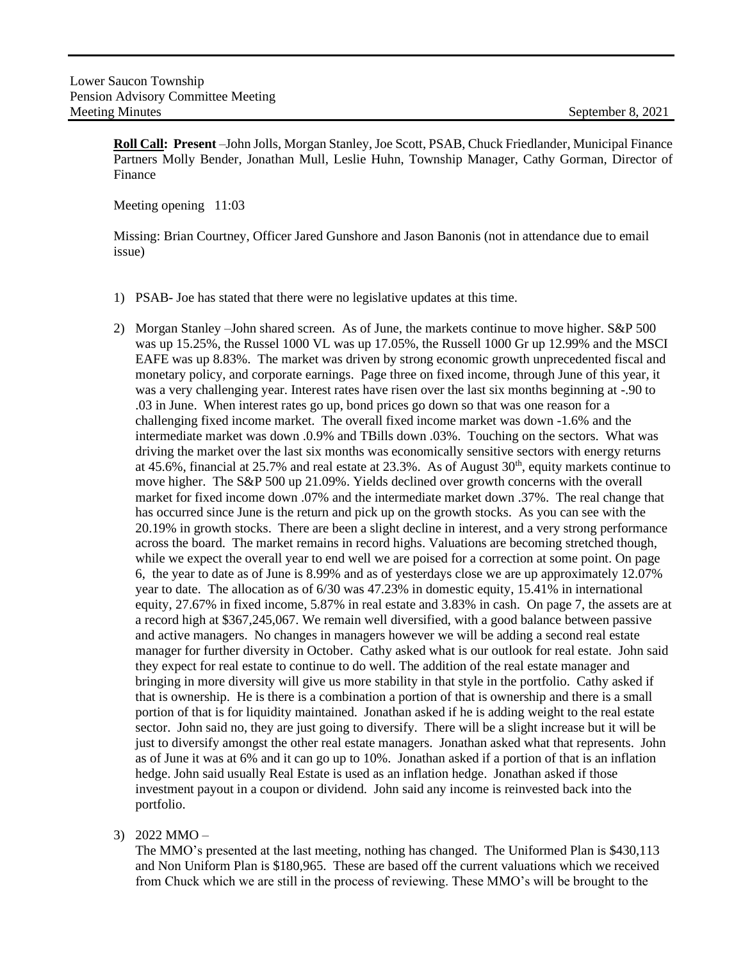**Roll Call: Present** –John Jolls, Morgan Stanley, Joe Scott, PSAB, Chuck Friedlander, Municipal Finance Partners Molly Bender, Jonathan Mull, Leslie Huhn, Township Manager, Cathy Gorman, Director of Finance

Meeting opening 11:03

Missing: Brian Courtney, Officer Jared Gunshore and Jason Banonis (not in attendance due to email issue)

- 1) PSAB- Joe has stated that there were no legislative updates at this time.
- 2) Morgan Stanley –John shared screen. As of June, the markets continue to move higher. S&P 500 was up 15.25%, the Russel 1000 VL was up 17.05%, the Russell 1000 Gr up 12.99% and the MSCI EAFE was up 8.83%. The market was driven by strong economic growth unprecedented fiscal and monetary policy, and corporate earnings. Page three on fixed income, through June of this year, it was a very challenging year. Interest rates have risen over the last six months beginning at -.90 to .03 in June. When interest rates go up, bond prices go down so that was one reason for a challenging fixed income market. The overall fixed income market was down -1.6% and the intermediate market was down .0.9% and TBills down .03%. Touching on the sectors. What was driving the market over the last six months was economically sensitive sectors with energy returns at 45.6%, financial at 25.7% and real estate at  $23.3\%$ . As of August  $30<sup>th</sup>$ , equity markets continue to move higher. The S&P 500 up 21.09%. Yields declined over growth concerns with the overall market for fixed income down .07% and the intermediate market down .37%. The real change that has occurred since June is the return and pick up on the growth stocks. As you can see with the 20.19% in growth stocks. There are been a slight decline in interest, and a very strong performance across the board. The market remains in record highs. Valuations are becoming stretched though, while we expect the overall year to end well we are poised for a correction at some point. On page 6, the year to date as of June is 8.99% and as of yesterdays close we are up approximately 12.07% year to date. The allocation as of 6/30 was 47.23% in domestic equity, 15.41% in international equity, 27.67% in fixed income, 5.87% in real estate and 3.83% in cash. On page 7, the assets are at a record high at \$367,245,067. We remain well diversified, with a good balance between passive and active managers. No changes in managers however we will be adding a second real estate manager for further diversity in October. Cathy asked what is our outlook for real estate. John said they expect for real estate to continue to do well. The addition of the real estate manager and bringing in more diversity will give us more stability in that style in the portfolio. Cathy asked if that is ownership. He is there is a combination a portion of that is ownership and there is a small portion of that is for liquidity maintained. Jonathan asked if he is adding weight to the real estate sector. John said no, they are just going to diversify. There will be a slight increase but it will be just to diversify amongst the other real estate managers. Jonathan asked what that represents. John as of June it was at 6% and it can go up to 10%. Jonathan asked if a portion of that is an inflation hedge. John said usually Real Estate is used as an inflation hedge. Jonathan asked if those investment payout in a coupon or dividend. John said any income is reinvested back into the portfolio.
- 3) 2022 MMO –

The MMO's presented at the last meeting, nothing has changed. The Uniformed Plan is \$430,113 and Non Uniform Plan is \$180,965. These are based off the current valuations which we received from Chuck which we are still in the process of reviewing. These MMO's will be brought to the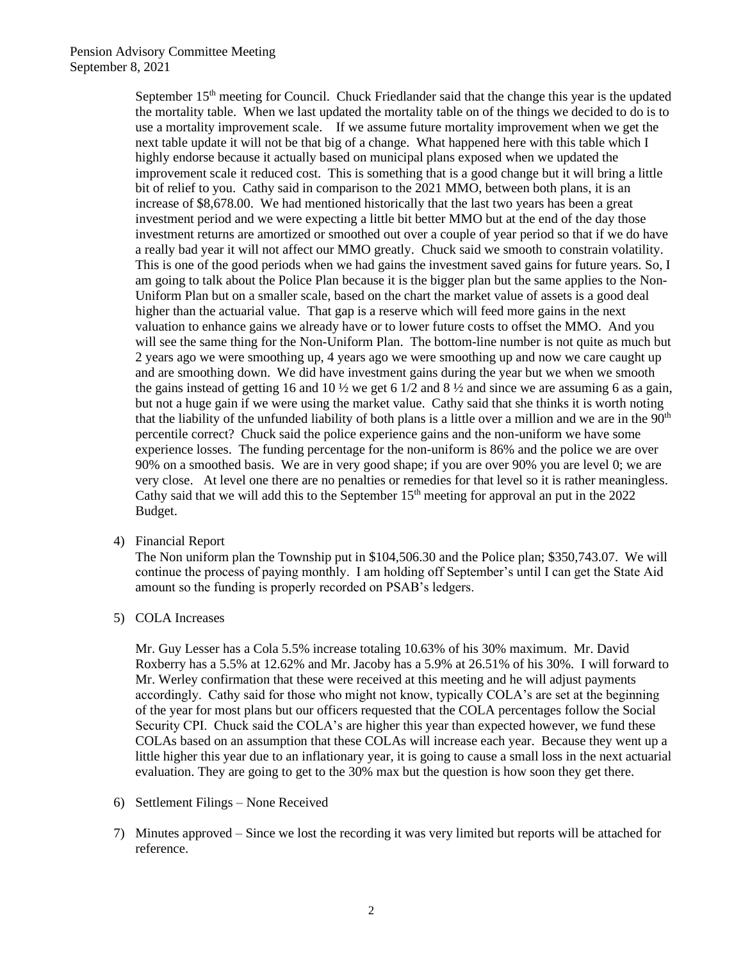September 15<sup>th</sup> meeting for Council. Chuck Friedlander said that the change this year is the updated the mortality table. When we last updated the mortality table on of the things we decided to do is to use a mortality improvement scale. If we assume future mortality improvement when we get the next table update it will not be that big of a change. What happened here with this table which I highly endorse because it actually based on municipal plans exposed when we updated the improvement scale it reduced cost. This is something that is a good change but it will bring a little bit of relief to you. Cathy said in comparison to the 2021 MMO, between both plans, it is an increase of \$8,678.00. We had mentioned historically that the last two years has been a great investment period and we were expecting a little bit better MMO but at the end of the day those investment returns are amortized or smoothed out over a couple of year period so that if we do have a really bad year it will not affect our MMO greatly. Chuck said we smooth to constrain volatility. This is one of the good periods when we had gains the investment saved gains for future years. So, I am going to talk about the Police Plan because it is the bigger plan but the same applies to the Non-Uniform Plan but on a smaller scale, based on the chart the market value of assets is a good deal higher than the actuarial value. That gap is a reserve which will feed more gains in the next valuation to enhance gains we already have or to lower future costs to offset the MMO. And you will see the same thing for the Non-Uniform Plan. The bottom-line number is not quite as much but 2 years ago we were smoothing up, 4 years ago we were smoothing up and now we care caught up and are smoothing down. We did have investment gains during the year but we when we smooth the gains instead of getting 16 and 10  $\frac{1}{2}$  we get 6 1/2 and 8  $\frac{1}{2}$  and since we are assuming 6 as a gain, but not a huge gain if we were using the market value. Cathy said that she thinks it is worth noting that the liability of the unfunded liability of both plans is a little over a million and we are in the  $90<sup>th</sup>$ percentile correct? Chuck said the police experience gains and the non-uniform we have some experience losses. The funding percentage for the non-uniform is 86% and the police we are over 90% on a smoothed basis. We are in very good shape; if you are over 90% you are level 0; we are very close. At level one there are no penalties or remedies for that level so it is rather meaningless. Cathy said that we will add this to the September  $15<sup>th</sup>$  meeting for approval an put in the 2022 Budget.

4) Financial Report

The Non uniform plan the Township put in \$104,506.30 and the Police plan; \$350,743.07. We will continue the process of paying monthly. I am holding off September's until I can get the State Aid amount so the funding is properly recorded on PSAB's ledgers.

5) COLA Increases

Mr. Guy Lesser has a Cola 5.5% increase totaling 10.63% of his 30% maximum. Mr. David Roxberry has a 5.5% at 12.62% and Mr. Jacoby has a 5.9% at 26.51% of his 30%. I will forward to Mr. Werley confirmation that these were received at this meeting and he will adjust payments accordingly. Cathy said for those who might not know, typically COLA's are set at the beginning of the year for most plans but our officers requested that the COLA percentages follow the Social Security CPI. Chuck said the COLA's are higher this year than expected however, we fund these COLAs based on an assumption that these COLAs will increase each year. Because they went up a little higher this year due to an inflationary year, it is going to cause a small loss in the next actuarial evaluation. They are going to get to the 30% max but the question is how soon they get there.

- 6) Settlement Filings None Received
- 7) Minutes approved Since we lost the recording it was very limited but reports will be attached for reference.